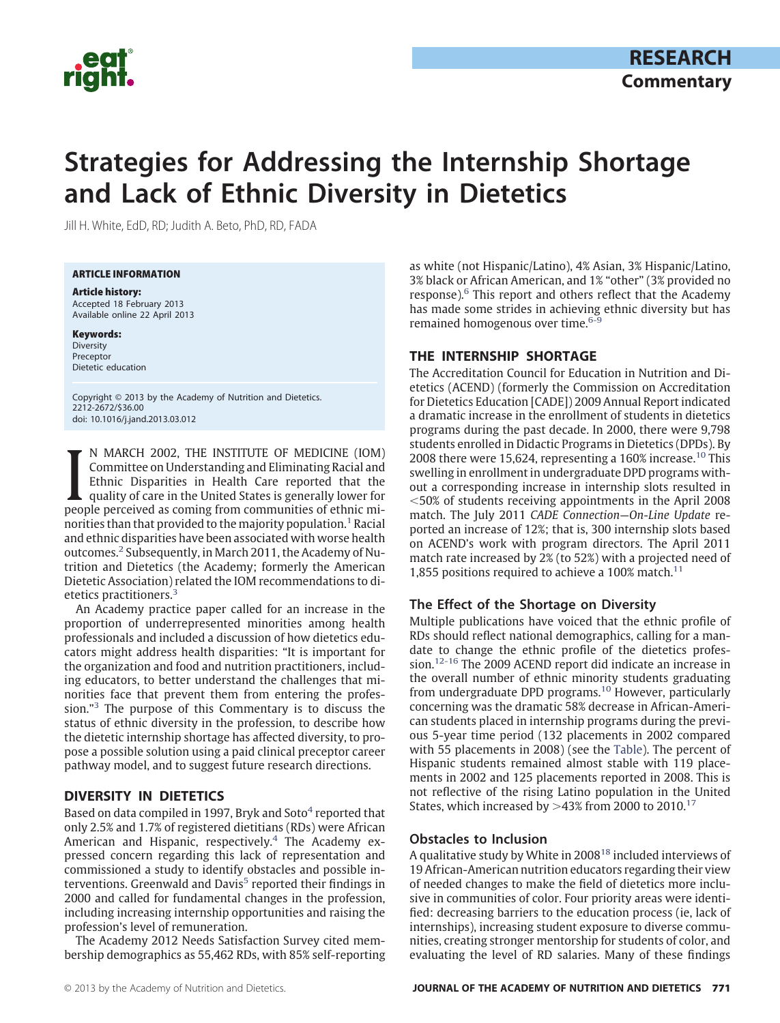

# **Strategies for Addressing the Internship Shortage and Lack of Ethnic Diversity in Dietetics**

Jill H. White, EdD, RD; Judith A. Beto, PhD, RD, FADA

ARTICLE INFORMATION

Article history: Accepted 18 February 2013 Available online 22 April 2013

Keywords: Diversity Preceptor Dietetic education

Copyright © 2013 by the Academy of Nutrition and Dietetics. 2212-2672/\$36.00 doi: 10.1016/j.jand.2013.03.012

I N MARCH 2002, THE INSTITUTE OF MEDICINE (IOM)<br>Committee on Understanding and Eliminating Racial and<br>Ethnic Disparities in Health Care reported that the<br>quality of care in the United States is generally lower for<br>people p N MARCH 2002, THE INSTITUTE OF MEDICINE (IOM) Committee on Understanding and Eliminating Racial and Ethnic Disparities in Health Care reported that the quality of care in the United States is generally lower for norities than that provided to the majority population.<sup>1</sup> Racial and ethnic disparities have been associated with worse health outcomes.[2](#page-3-1) Subsequently, in March 2011, the Academy of Nutrition and Dietetics (the Academy; formerly the American Dietetic Association) related the IOM recommendations to dietetics practitioners.<sup>3</sup>

An Academy practice paper called for an increase in the proportion of underrepresented minorities among health professionals and included a discussion of how dietetics educators might address health disparities: "It is important for the organization and food and nutrition practitioners, including educators, to better understand the challenges that minorities face that prevent them from entering the profession.["3](#page-3-2) The purpose of this Commentary is to discuss the status of ethnic diversity in the profession, to describe how the dietetic internship shortage has affected diversity, to propose a possible solution using a paid clinical preceptor career pathway model, and to suggest future research directions.

# **DIVERSITY IN DIETETICS**

Based on data compiled in 1997, Bryk and Soto $4$  reported that only 2.5% and 1.7% of registered dietitians (RDs) were African American and Hispanic, respectively.<sup>4</sup> The Academy expressed concern regarding this lack of representation and commissioned a study to identify obstacles and possible interventions. Greenwald and Davis $5$  reported their findings in 2000 and called for fundamental changes in the profession, including increasing internship opportunities and raising the profession's level of remuneration.

The Academy 2012 Needs Satisfaction Survey cited membership demographics as 55,462 RDs, with 85% self-reporting

as white (not Hispanic/Latino), 4% Asian, 3% Hispanic/Latino, 3% black or African American, and 1% "other" (3% provided no response).<sup>6</sup> This report and others reflect that the Academy has made some strides in achieving ethnic diversity but has remained homogenous over time.<sup>6-9</sup>

# **THE INTERNSHIP SHORTAGE**

The Accreditation Council for Education in Nutrition and Dietetics (ACEND) (formerly the Commission on Accreditation for Dietetics Education [CADE]) 2009 Annual Report indicated a dramatic increase in the enrollment of students in dietetics programs during the past decade. In 2000, there were 9,798 students enrolled in Didactic Programs in Dietetics (DPDs). By 2008 there were 15,624, representing a  $160\%$  increase.<sup>10</sup> This swelling in enrollment in undergraduate DPD programs without a corresponding increase in internship slots resulted in 50% of students receiving appointments in the April 2008 match. The July 2011 *CADE Connection—On-Line Update* reported an increase of 12%; that is, 300 internship slots based on ACEND's work with program directors. The April 2011 match rate increased by 2% (to 52%) with a projected need of 1,855 positions required to achieve a 100% match.<sup>11</sup>

# **The Effect of the Shortage on Diversity**

Multiple publications have voiced that the ethnic profile of RDs should reflect national demographics, calling for a mandate to change the ethnic profile of the dietetics profession[.12-16](#page-3-8) The 2009 ACEND report did indicate an increase in the overall number of ethnic minority students graduating from undergraduate DPD programs[.10](#page-3-6) However, particularly concerning was the dramatic 58% decrease in African-American students placed in internship programs during the previous 5-year time period (132 placements in 2002 compared with 55 placements in 2008) (see the [Table\)](#page-1-0). The percent of Hispanic students remained almost stable with 119 placements in 2002 and 125 placements reported in 2008. This is not reflective of the rising Latino population in the United States, which increased by  $>$ 43% from 2000 to 2010. $^{17}$ 

#### **Obstacles to Inclusion**

A qualitative study by White in  $2008<sup>18</sup>$  included interviews of 19 African-American nutrition educators regarding their view of needed changes to make the field of dietetics more inclusive in communities of color. Four priority areas were identified: decreasing barriers to the education process (ie, lack of internships), increasing student exposure to diverse communities, creating stronger mentorship for students of color, and evaluating the level of RD salaries. Many of these findings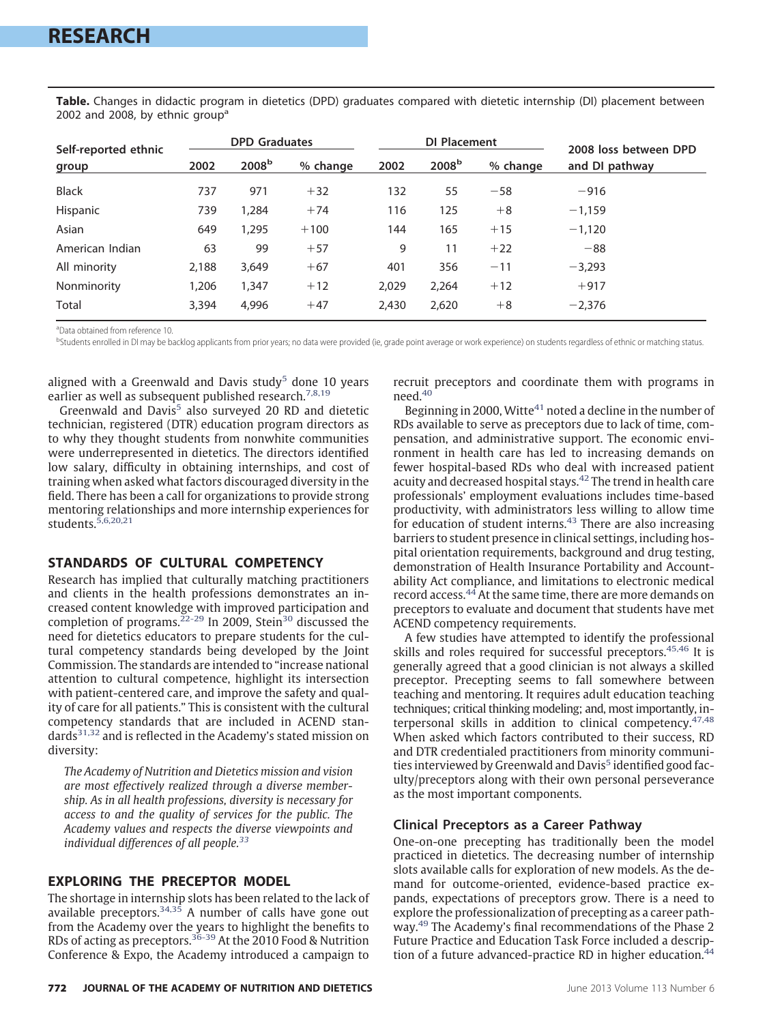| Self-reported ethnic<br>group | <b>DPD Graduates</b> |                   |          | DI Placement |                   |          | 2008 loss between DPD |
|-------------------------------|----------------------|-------------------|----------|--------------|-------------------|----------|-----------------------|
|                               | 2002                 | 2008 <sup>b</sup> | % change | 2002         | 2008 <sup>b</sup> | % change | and DI pathway        |
| <b>Black</b>                  | 737                  | 971               | $+32$    | 132          | 55                | $-58$    | $-916$                |
| Hispanic                      | 739                  | 1,284             | $+74$    | 116          | 125               | $+8$     | $-1,159$              |
| Asian                         | 649                  | 1,295             | $+100$   | 144          | 165               | $+15$    | $-1,120$              |
| American Indian               | 63                   | 99                | $+57$    | 9            | 11                | $+22$    | $-88$                 |
| All minority                  | 2,188                | 3,649             | $+67$    | 401          | 356               | $-11$    | $-3.293$              |
| Nonminority                   | 1,206                | 1,347             | $+12$    | 2,029        | 2,264             | $+12$    | $+917$                |
| Total                         | 3,394                | 4,996             | $+47$    | 2,430        | 2,620             | $+8$     | $-2,376$              |

<span id="page-1-0"></span>**Table.** Changes in didactic program in dietetics (DPD) graduates compared with dietetic internship (DI) placement between 2002 and 2008, by ethnic group<sup>a</sup>

a Data obtained from reference 10.

<sup>b</sup>Students enrolled in DI may be backlog applicants from prior years; no data were provided (ie, grade point average or work experience) on students regardless of ethnic or matching status.

aligned with a Greenwald and Davis study<sup>[5](#page-3-4)</sup> done 10 years earlier as well as subsequent published research.<sup>7,8,19</sup>

Greenwald and Davis $5$  also surveyed 20 RD and dietetic technician, registered (DTR) education program directors as to why they thought students from nonwhite communities were underrepresented in dietetics. The directors identified low salary, difficulty in obtaining internships, and cost of training when asked what factors discouraged diversity in the field. There has been a call for organizations to provide strong mentoring relationships and more internship experiences for students[.5,6,20,21](#page-3-4)

# **STANDARDS OF CULTURAL COMPETENCY**

Research has implied that culturally matching practitioners and clients in the health professions demonstrates an increased content knowledge with improved participation and completion of programs.<sup>22-29</sup> In 2009, Stein<sup>30</sup> discussed the need for dietetics educators to prepare students for the cultural competency standards being developed by the Joint Commission. The standards are intended to "increase national attention to cultural competence, highlight its intersection with patient-centered care, and improve the safety and quality of care for all patients." This is consistent with the cultural competency standards that are included in ACEND standards<sup>31,32</sup> and is reflected in the Academy's stated mission on diversity:

*The Academy of Nutrition and Dietetics mission and vision are most effectively realized through a diverse membership. As in all health professions, diversity is necessary for access to and the quality of services for the public. The Academy values and respects the diverse viewpoints and individual differences of all people[.33](#page-3-15)*

### **EXPLORING THE PRECEPTOR MODEL**

The shortage in internship slots has been related to the lack of available preceptors. $34,35$  A number of calls have gone out from the Academy over the years to highlight the benefits to RDs of acting as preceptors.<sup>[36-39](#page-3-17)</sup> At the 2010 Food & Nutrition Conference & Expo, the Academy introduced a campaign to

recruit preceptors and coordinate them with programs in need.<sup>40</sup>

Beginning in 2000, Witte $41$  noted a decline in the number of RDs available to serve as preceptors due to lack of time, compensation, and administrative support. The economic environment in health care has led to increasing demands on fewer hospital-based RDs who deal with increased patient acuity and decreased hospital stays.[42](#page-3-20) The trend in health care professionals' employment evaluations includes time-based productivity, with administrators less willing to allow time for education of student interns. $43$  There are also increasing barriers to student presence in clinical settings, including hospital orientation requirements, background and drug testing, demonstration of Health Insurance Portability and Accountability Act compliance, and limitations to electronic medical record access[.44](#page-3-22) At the same time, there are more demands on preceptors to evaluate and document that students have met ACEND competency requirements.

A few studies have attempted to identify the professional skills and roles required for successful preceptors.<sup>45,46</sup> It is generally agreed that a good clinician is not always a skilled preceptor. Precepting seems to fall somewhere between teaching and mentoring. It requires adult education teaching techniques; critical thinking modeling; and, most importantly, in-terpersonal skills in addition to clinical competency.<sup>[47,48](#page-4-0)</sup> When asked which factors contributed to their success, RD and DTR credentialed practitioners from minority communi-ties interviewed by Greenwald and Davis<sup>[5](#page-3-4)</sup> identified good faculty/preceptors along with their own personal perseverance as the most important components.

#### **Clinical Preceptors as a Career Pathway**

One-on-one precepting has traditionally been the model practiced in dietetics. The decreasing number of internship slots available calls for exploration of new models. As the demand for outcome-oriented, evidence-based practice expands, expectations of preceptors grow. There is a need to explore the professionalization of precepting as a career pathway[.49](#page-4-1) The Academy's final recommendations of the Phase 2 Future Practice and Education Task Force included a description of a future advanced-practice RD in higher education.<sup>44</sup>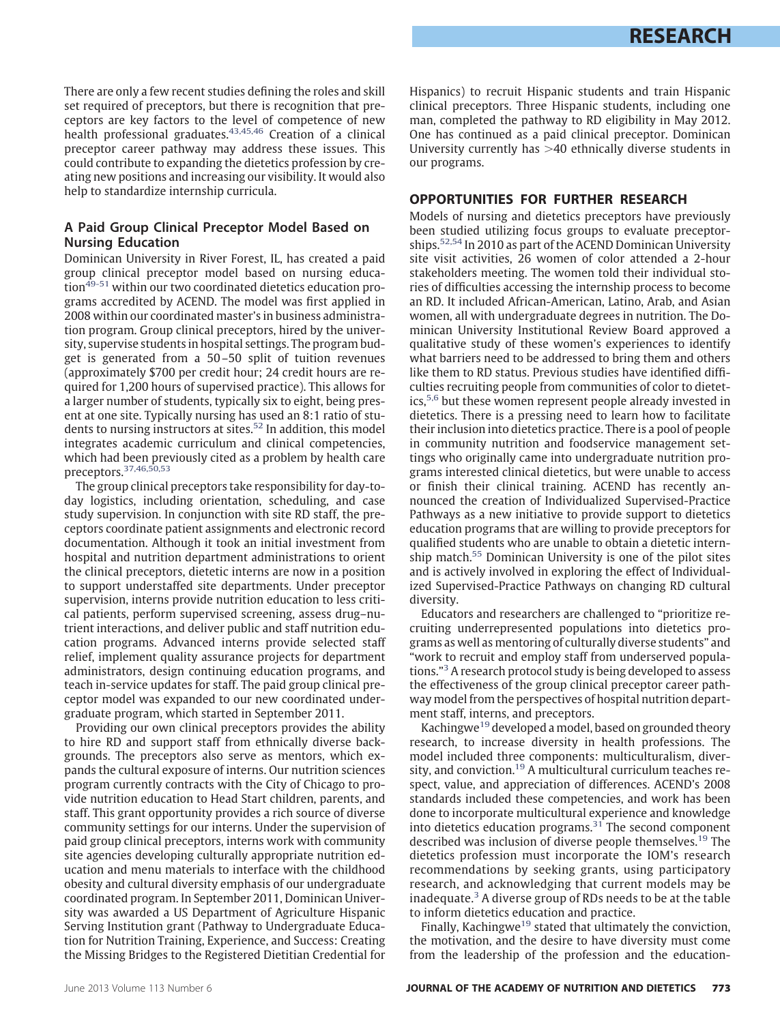There are only a few recent studies defining the roles and skill set required of preceptors, but there is recognition that preceptors are key factors to the level of competence of new health professional graduates.<sup>[43,45,46](#page-3-21)</sup> Creation of a clinical preceptor career pathway may address these issues. This could contribute to expanding the dietetics profession by creating new positions and increasing our visibility. It would also help to standardize internship curricula.

# **A Paid Group Clinical Preceptor Model Based on Nursing Education**

Dominican University in River Forest, IL, has created a paid group clinical preceptor model based on nursing education<sup>49-51</sup> within our two coordinated dietetics education programs accredited by ACEND. The model was first applied in 2008 within our coordinated master's in business administration program. Group clinical preceptors, hired by the university, supervise students in hospital settings. The program budget is generated from a 50 –50 split of tuition revenues (approximately \$700 per credit hour; 24 credit hours are required for 1,200 hours of supervised practice). This allows for a larger number of students, typically six to eight, being present at one site. Typically nursing has used an 8:1 ratio of stu-dents to nursing instructors at sites.<sup>[52](#page-4-2)</sup> In addition, this model integrates academic curriculum and clinical competencies, which had been previously cited as a problem by health care preceptors[.37,46,50,53](#page-3-24)

The group clinical preceptors take responsibility for day-today logistics, including orientation, scheduling, and case study supervision. In conjunction with site RD staff, the preceptors coordinate patient assignments and electronic record documentation. Although it took an initial investment from hospital and nutrition department administrations to orient the clinical preceptors, dietetic interns are now in a position to support understaffed site departments. Under preceptor supervision, interns provide nutrition education to less critical patients, perform supervised screening, assess drug–nutrient interactions, and deliver public and staff nutrition education programs. Advanced interns provide selected staff relief, implement quality assurance projects for department administrators, design continuing education programs, and teach in-service updates for staff. The paid group clinical preceptor model was expanded to our new coordinated undergraduate program, which started in September 2011.

Providing our own clinical preceptors provides the ability to hire RD and support staff from ethnically diverse backgrounds. The preceptors also serve as mentors, which expands the cultural exposure of interns. Our nutrition sciences program currently contracts with the City of Chicago to provide nutrition education to Head Start children, parents, and staff. This grant opportunity provides a rich source of diverse community settings for our interns. Under the supervision of paid group clinical preceptors, interns work with community site agencies developing culturally appropriate nutrition education and menu materials to interface with the childhood obesity and cultural diversity emphasis of our undergraduate coordinated program. In September 2011, Dominican University was awarded a US Department of Agriculture Hispanic Serving Institution grant (Pathway to Undergraduate Education for Nutrition Training, Experience, and Success: Creating the Missing Bridges to the Registered Dietitian Credential for

Hispanics) to recruit Hispanic students and train Hispanic clinical preceptors. Three Hispanic students, including one man, completed the pathway to RD eligibility in May 2012. One has continued as a paid clinical preceptor. Dominican University currently has >40 ethnically diverse students in our programs.

# **OPPORTUNITIES FOR FURTHER RESEARCH**

Models of nursing and dietetics preceptors have previously been studied utilizing focus groups to evaluate preceptorships[.52,54](#page-4-2) In 2010 as part of the ACEND Dominican University site visit activities, 26 women of color attended a 2-hour stakeholders meeting. The women told their individual stories of difficulties accessing the internship process to become an RD. It included African-American, Latino, Arab, and Asian women, all with undergraduate degrees in nutrition. The Dominican University Institutional Review Board approved a qualitative study of these women's experiences to identify what barriers need to be addressed to bring them and others like them to RD status. Previous studies have identified difficulties recruiting people from communities of color to dietet-ics,<sup>[5,6](#page-3-4)</sup> but these women represent people already invested in dietetics. There is a pressing need to learn how to facilitate their inclusion into dietetics practice. There is a pool of people in community nutrition and foodservice management settings who originally came into undergraduate nutrition programs interested clinical dietetics, but were unable to access or finish their clinical training. ACEND has recently announced the creation of Individualized Supervised-Practice Pathways as a new initiative to provide support to dietetics education programs that are willing to provide preceptors for qualified students who are unable to obtain a dietetic internship match[.55](#page-4-3) Dominican University is one of the pilot sites and is actively involved in exploring the effect of Individualized Supervised-Practice Pathways on changing RD cultural diversity.

Educators and researchers are challenged to "prioritize recruiting underrepresented populations into dietetics programs as well as mentoring of culturally diverse students" and "work to recruit and employ staff from underserved populations.["3](#page-3-2) A research protocol study is being developed to assess the effectiveness of the group clinical preceptor career pathway model from the perspectives of hospital nutrition department staff, interns, and preceptors.

Kachingwe<sup>19</sup> developed a model, based on grounded theory research, to increase diversity in health professions. The model included three components: multiculturalism, diversity, and conviction.<sup>19</sup> A multicultural curriculum teaches respect, value, and appreciation of differences. ACEND's 2008 standards included these competencies, and work has been done to incorporate multicultural experience and knowledge into dietetics education programs. $31$  The second component described was inclusion of diverse people themselves.<sup>19</sup> The dietetics profession must incorporate the IOM's research recommendations by seeking grants, using participatory research, and acknowledging that current models may be inadequate. $3$  A diverse group of RDs needs to be at the table to inform dietetics education and practice.

Finally, Kachingwe<sup>19</sup> stated that ultimately the conviction, the motivation, and the desire to have diversity must come from the leadership of the profession and the education-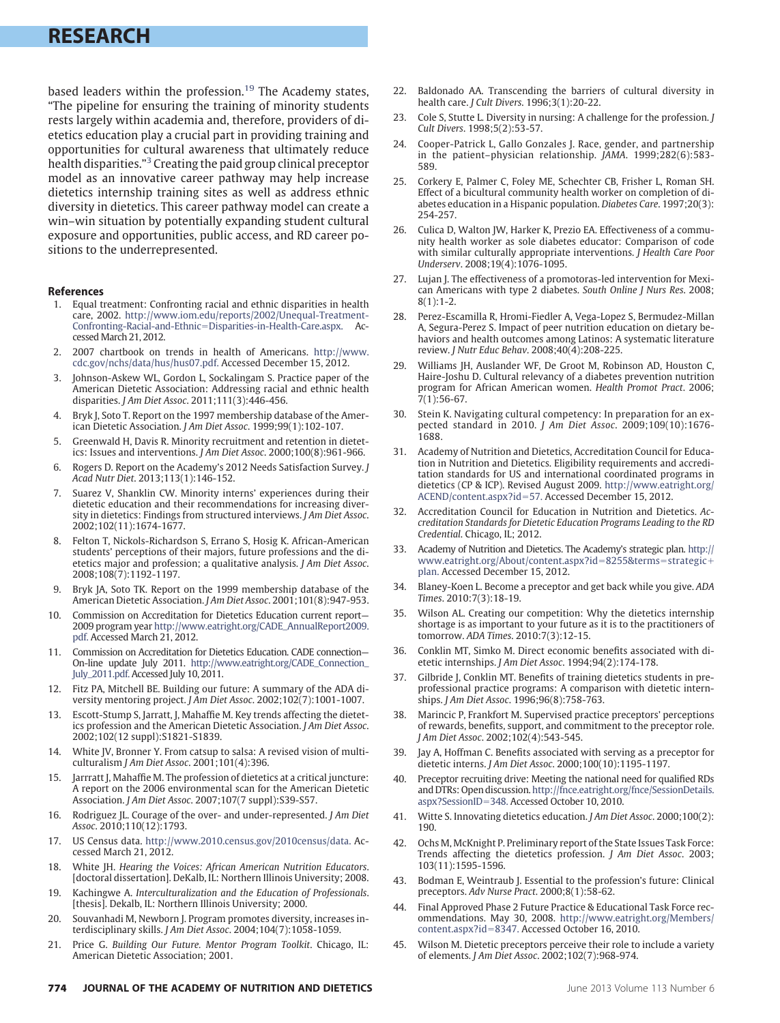# **RESEARCH**

based leaders within the profession.<sup>[19](#page-3-25)</sup> The Academy states, "The pipeline for ensuring the training of minority students rests largely within academia and, therefore, providers of dietetics education play a crucial part in providing training and opportunities for cultural awareness that ultimately reduce health disparities.["3](#page-3-2) Creating the paid group clinical preceptor model as an innovative career pathway may help increase dietetics internship training sites as well as address ethnic diversity in dietetics. This career pathway model can create a win–win situation by potentially expanding student cultural exposure and opportunities, public access, and RD career positions to the underrepresented.

#### <span id="page-3-0"></span>**References**

- 1. Equal treatment: Confronting racial and ethnic disparities in health care, 2002. [http://www.iom.edu/reports/2002/Unequal-Treatment-](http://www.iom.edu/reports/2002/Unequal-Treatment-Confronting-Racial-and-Ethnic=Disparities-in-Health-Care.aspx)Confronting-Racial-and-Ethnic=[Disparities-in-Health-Care.aspx.](http://www.iom.edu/reports/2002/Unequal-Treatment-Confronting-Racial-and-Ethnic=Disparities-in-Health-Care.aspx) cessed March 21, 2012.
- <span id="page-3-2"></span><span id="page-3-1"></span>2. 2007 chartbook on trends in health of Americans. [http://www.](http://www.cdc.gov/nchs/data/hus/hus07.pdf) [cdc.gov/nchs/data/hus/hus07.pdf.](http://www.cdc.gov/nchs/data/hus/hus07.pdf) Accessed December 15, 2012.
- Johnson-Askew WL, Gordon L, Sockalingam S. Practice paper of the American Dietetic Association: Addressing racial and ethnic health disparities. *J Am Diet Assoc*. 2011;111(3):446-456.
- <span id="page-3-4"></span><span id="page-3-3"></span>Bryk J, Soto T. Report on the 1997 membership database of the American Dietetic Association. *J Am Diet Assoc*. 1999;99(1):102-107.
- <span id="page-3-5"></span>5. Greenwald H, Davis R. Minority recruitment and retention in dietetics: Issues and interventions. *J Am Diet Assoc*. 2000;100(8):961-966.
- <span id="page-3-11"></span>6. Rogers D. Report on the Academy's 2012 Needs Satisfaction Survey. *J Acad Nutr Diet*. 2013;113(1):146-152.
- Suarez V, Shanklin CW. Minority interns' experiences during their dietetic education and their recommendations for increasing diversity in dietetics: Findings from structured interviews. *J Am Diet Assoc*. 2002;102(11):1674-1677.
- 8. Felton T, Nickols-Richardson S, Errano S, Hosig K. African-American students' perceptions of their majors, future professions and the dietetics major and profession; a qualitative analysis. *J Am Diet Assoc*. 2008;108(7):1192-1197.
- Bryk JA, Soto TK. Report on the 1999 membership database of the American Dietetic Association. *J Am Diet Assoc*. 2001;101(8):947-953.
- <span id="page-3-6"></span>10. Commission on Accreditation for Dietetics Education current report— 2009 program year [http://www.eatright.org/CADE\\_AnnualReport2009.](http://www.eatright.org/CADE_AnnualReport2009.pdf) [pdf.](http://www.eatright.org/CADE_AnnualReport2009.pdf) Accessed March 21, 2012.
- <span id="page-3-7"></span>11. Commission on Accreditation for Dietetics Education. CADE connection— On-line update July 2011. [http://www.eatright.org/CADE\\_Connection\\_](http://www.eatright.org/CADE_Connection_July_2011.pdf) [July\\_2011.pdf.](http://www.eatright.org/CADE_Connection_July_2011.pdf) Accessed July 10, 2011.
- <span id="page-3-8"></span>12. Fitz PA, Mitchell BE. Building our future: A summary of the ADA diversity mentoring project. *J Am Diet Assoc*. 2002;102(7):1001-1007.
- 13. Escott-Stump S, Jarratt, J, Mahaffie M. Key trends affecting the dietetics profession and the American Dietetic Association. *J Am Diet Assoc*. 2002;102(12 suppl):S1821-S1839.
- 14. White JV, Bronner Y. From catsup to salsa: A revised vision of multiculturalism *J Am Diet Assoc*. 2001;101(4):396.
- 15. Jarrratt J, Mahaffie M. The profession of dietetics at a critical juncture: A report on the 2006 environmental scan for the American Dietetic Association. *J Am Diet Assoc*. 2007;107(7 suppl):S39-S57.
- <span id="page-3-9"></span>16. Rodriguez JL. Courage of the over- and under-represented. *J Am Diet Assoc*. 2010;110(12):1793.
- <span id="page-3-10"></span>17. US Census data. [http://www.2010.census.gov/2010census/data.](http://www.2010.census.gov/2010census/data) Accessed March 21, 2012.
- <span id="page-3-25"></span>18. White JH. *Hearing the Voices: African American Nutrition Educators*. [doctoral dissertation]. DeKalb, IL: Northern Illinois University; 2008.
- 19. Kachingwe A. *Interculturalization and the Education of Professionals*. [thesis]. Dekalb, IL: Northern Illinois University; 2000.
- 20. Souvanhadi M, Newborn J. Program promotes diversity, increases interdisciplinary skills. *J Am Diet Assoc*. 2004;104(7):1058-1059.
- 21. Price G. *Building Our Future. Mentor Program Toolkit*. Chicago, IL: American Dietetic Association; 2001.
- **774 JOURNAL OF THE ACADEMY OF NUTRITION AND DIETETICS Statement Contract and Security Contract Property** June 2013 Volume 113 Number 6
- <span id="page-3-12"></span>22. Baldonado AA. Transcending the barriers of cultural diversity in health care. *J Cult Divers*. 1996;3(1):20-22.
- 23. Cole S, Stutte L. Diversity in nursing: A challenge for the profession. *J Cult Divers*. 1998;5(2):53-57.
- 24. Cooper-Patrick L, Gallo Gonzales J. Race, gender, and partnership in the patient–physician relationship. *JAMA*. 1999;282(6):583- 589.
- 25. Corkery E, Palmer C, Foley ME, Schechter CB, Frisher L, Roman SH. Effect of a bicultural community health worker on completion of diabetes education in a Hispanic population. *Diabetes Care*. 1997;20(3): 254-257.
- 26. Culica D, Walton JW, Harker K, Prezio EA. Effectiveness of a community health worker as sole diabetes educator: Comparison of code with similar culturally appropriate interventions. *J Health Care Poor Underserv*. 2008;19(4):1076-1095.
- 27. Lujan J. The effectiveness of a promotoras-led intervention for Mexican Americans with type 2 diabetes. *South Online J Nurs Res*. 2008; 8(1):1-2.
- 28. Perez-Escamilla R, Hromi-Fiedler A, Vega-Lopez S, Bermudez-Millan A, Segura-Perez S. Impact of peer nutrition education on dietary behaviors and health outcomes among Latinos: A systematic literature review. *J Nutr Educ Behav*. 2008;40(4):208-225.
- 29. Williams JH, Auslander WF, De Groot M, Robinson AD, Houston C, Haire-Joshu D. Cultural relevancy of a diabetes prevention nutrition program for African American women. *Health Promot Pract*. 2006; 7(1):56-67.
- <span id="page-3-13"></span>Stein K. Navigating cultural competency: In preparation for an expected standard in 2010. *J Am Diet Assoc*. 2009;109(10):1676- 1688.
- <span id="page-3-14"></span>31. Academy of Nutrition and Dietetics, Accreditation Council for Education in Nutrition and Dietetics. Eligibility requirements and accreditation standards for US and international coordinated programs in dietetics (CP & ICP). Revised August 2009. [http://www.eatright.org/](http://www.eatright.org/ACEND/content.aspx?id=57) [ACEND/content.aspx?id](http://www.eatright.org/ACEND/content.aspx?id=57)=57. Accessed December 15, 2012.
- 32. Accreditation Council for Education in Nutrition and Dietetics. *Accreditation Standards for Dietetic Education Programs Leading to the RD Credential*. Chicago, IL; 2012.
- <span id="page-3-15"></span>33. Academy of Nutrition and Dietetics. The Academy's strategic plan. [http://](http://www.eatright.org/About/content.aspx?id=8255%26terms=strategic+plan) [www.eatright.org/About/content.aspx?id](http://www.eatright.org/About/content.aspx?id=8255%26terms=strategic+plan)=8255&terms=strategic+ [plan.](http://www.eatright.org/About/content.aspx?id=8255%26terms=strategic+plan) Accessed December 15, 2012.
- <span id="page-3-16"></span>34. Blaney-Koen L. Become a preceptor and get back while you give. *ADA Times*. 2010:7(3):18-19.
- 35. Wilson AL. Creating our competition: Why the dietetics internship shortage is as important to your future as it is to the practitioners of tomorrow. *ADA Times*. 2010:7(3):12-15.
- <span id="page-3-24"></span><span id="page-3-17"></span>36. Conklin MT, Simko M. Direct economic benefits associated with dietetic internships. *J Am Diet Assoc*. 1994;94(2):174-178.
- 37. Gilbride J, Conklin MT. Benefits of training dietetics students in preprofessional practice programs: A comparison with dietetic internships. *J Am Diet Assoc*. 1996;96(8):758-763.
- 38. Marincic P, Frankfort M. Supervised practice preceptors' perceptions of rewards, benefits, support, and commitment to the preceptor role. *J Am Diet Assoc*. 2002;102(4):543-545.
- <span id="page-3-18"></span>39. Jay A, Hoffman C. Benefits associated with serving as a preceptor for dietetic interns. *J Am Diet Assoc*. 2000;100(10):1195-1197.
- 40. Preceptor recruiting drive: Meeting the national need for qualified RDs and DTRs: Open discussion[.http://fnce.eatright.org/fnce/SessionDetails.](http://fnce.eatright.org/fnce/SessionDetails.aspx?SessionID=348) [aspx?SessionID](http://fnce.eatright.org/fnce/SessionDetails.aspx?SessionID=348)=348. Accessed October 10, 2010.
- <span id="page-3-20"></span><span id="page-3-19"></span>41. Witte S. Innovating dietetics education. *J Am Diet Assoc*. 2000;100(2): 190.
- <span id="page-3-21"></span>42. Ochs M, McKnight P. Preliminary report of the State Issues Task Force: Trends affecting the dietetics profession. *J Am Diet Assoc*. 2003; 103(11):1595-1596.
- <span id="page-3-22"></span>43. Bodman E, Weintraub J. Essential to the profession's future: Clinical preceptors. *Adv Nurse Pract*. 2000;8(1):58-62.
- <span id="page-3-23"></span>44. Final Approved Phase 2 Future Practice & Educational Task Force recommendations. May 30, 2008. [http://www.eatright.org/Members/](http://www.eatright.org/Members/content.aspx?id=8347) [content.aspx?id](http://www.eatright.org/Members/content.aspx?id=8347)=8347. Accessed October 16, 2010.
- 45. Wilson M. Dietetic preceptors perceive their role to include a variety of elements. *J Am Diet Assoc*. 2002;102(7):968-974.